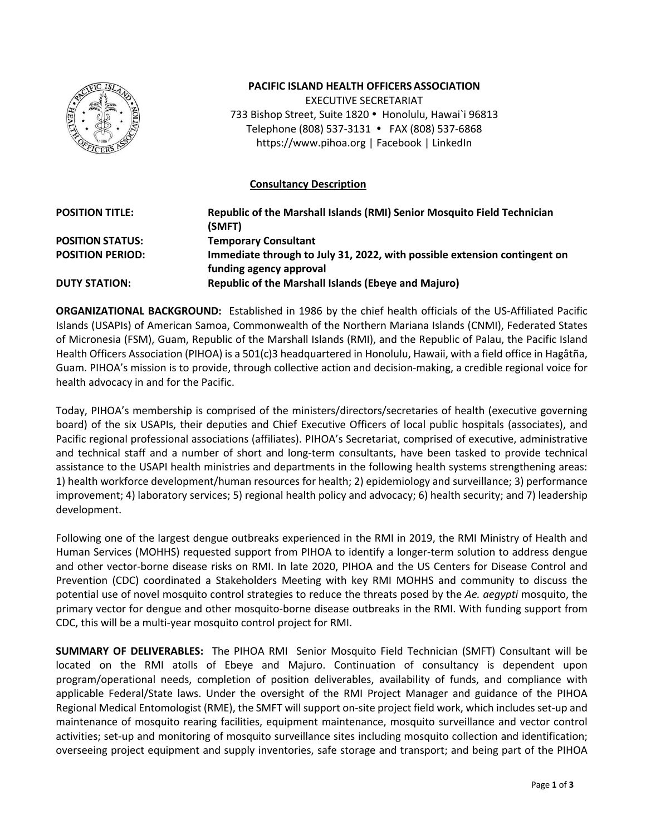

## **PACIFIC ISLAND HEALTH OFFICERSASSOCIATION**

EXECUTIVE SECRETARIAT 733 Bishop Street, Suite 1820 · Honolulu, Hawai`i 96813 Telephone (808) 537-3131 FAX (808) 537-6868 https://www.pihoa.org | Facebook | LinkedIn

## **Consultancy Description**

| <b>POSITION TITLE:</b>  | Republic of the Marshall Islands (RMI) Senior Mosquito Field Technician<br>(SMFT) |
|-------------------------|-----------------------------------------------------------------------------------|
| <b>POSITION STATUS:</b> | <b>Temporary Consultant</b>                                                       |
| <b>POSITION PERIOD:</b> | Immediate through to July 31, 2022, with possible extension contingent on         |
|                         | funding agency approval                                                           |
| <b>DUTY STATION:</b>    | <b>Republic of the Marshall Islands (Ebeye and Majuro)</b>                        |

**ORGANIZATIONAL BACKGROUND:** Established in 1986 by the chief health officials of the US-Affiliated Pacific Islands (USAPIs) of American Samoa, Commonwealth of the Northern Mariana Islands (CNMI), Federated States of Micronesia (FSM), Guam, Republic of the Marshall Islands (RMI), and the Republic of Palau, the Pacific Island Health Officers Association (PIHOA) is a 501(c)3 headquartered in Honolulu, Hawaii, with a field office in Hagåtña, Guam. PIHOA's mission is to provide, through collective action and decision-making, a credible regional voice for health advocacy in and for the Pacific.

Today, PIHOA's membership is comprised of the ministers/directors/secretaries of health (executive governing board) of the six USAPIs, their deputies and Chief Executive Officers of local public hospitals (associates), and Pacific regional professional associations (affiliates). PIHOA's Secretariat, comprised of executive, administrative and technical staff and a number of short and long-term consultants, have been tasked to provide technical assistance to the USAPI health ministries and departments in the following health systems strengthening areas: 1) health workforce development/human resources for health; 2) epidemiology and surveillance; 3) performance improvement; 4) laboratory services; 5) regional health policy and advocacy; 6) health security; and 7) leadership development.

Following one of the largest dengue outbreaks experienced in the RMI in 2019, the RMI Ministry of Health and Human Services (MOHHS) requested support from PIHOA to identify a longer-term solution to address dengue and other vector-borne disease risks on RMI. In late 2020, PIHOA and the US Centers for Disease Control and Prevention (CDC) coordinated a Stakeholders Meeting with key RMI MOHHS and community to discuss the potential use of novel mosquito control strategies to reduce the threats posed by the *Ae. aegypti* mosquito, the primary vector for dengue and other mosquito-borne disease outbreaks in the RMI. With funding support from CDC, this will be a multi-year mosquito control project for RMI.

**SUMMARY OF DELIVERABLES:** The PIHOA RMI Senior Mosquito Field Technician (SMFT) Consultant will be located on the RMI atolls of Ebeye and Majuro. Continuation of consultancy is dependent upon program/operational needs, completion of position deliverables, availability of funds, and compliance with applicable Federal/State laws. Under the oversight of the RMI Project Manager and guidance of the PIHOA Regional Medical Entomologist (RME), the SMFT will support on-site project field work, which includes set-up and maintenance of mosquito rearing facilities, equipment maintenance, mosquito surveillance and vector control activities; set-up and monitoring of mosquito surveillance sites including mosquito collection and identification; overseeing project equipment and supply inventories, safe storage and transport; and being part of the PIHOA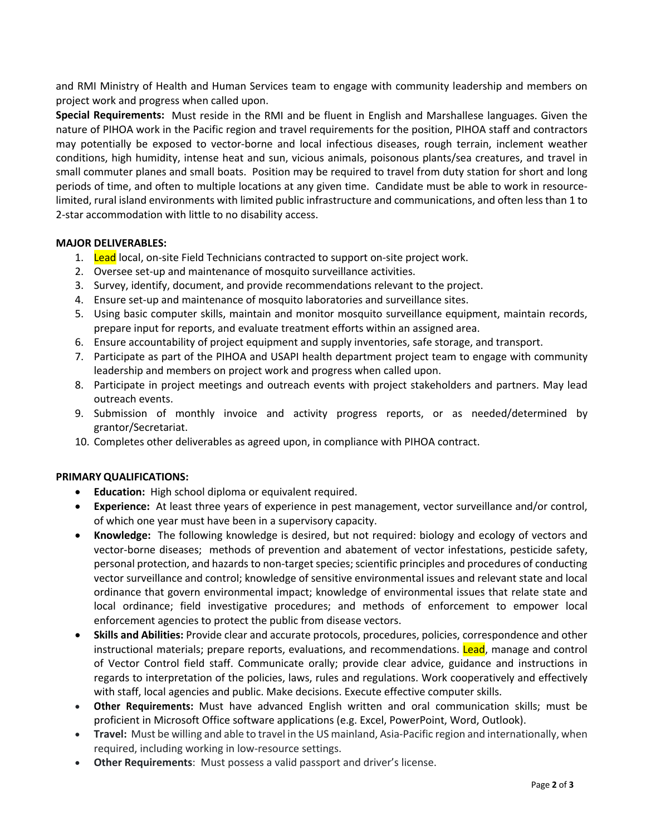and RMI Ministry of Health and Human Services team to engage with community leadership and members on project work and progress when called upon.

**Special Requirements:** Must reside in the RMI and be fluent in English and Marshallese languages. Given the nature of PIHOA work in the Pacific region and travel requirements for the position, PIHOA staff and contractors may potentially be exposed to vector-borne and local infectious diseases, rough terrain, inclement weather conditions, high humidity, intense heat and sun, vicious animals, poisonous plants/sea creatures, and travel in small commuter planes and small boats. Position may be required to travel from duty station for short and long periods of time, and often to multiple locations at any given time. Candidate must be able to work in resourcelimited, rural island environments with limited public infrastructure and communications, and often less than 1 to 2-star accommodation with little to no disability access.

## **MAJOR DELIVERABLES:**

- 1. Lead local, on-site Field Technicians contracted to support on-site project work.
- 2. Oversee set-up and maintenance of mosquito surveillance activities.
- 3. Survey, identify, document, and provide recommendations relevant to the project.
- 4. Ensure set-up and maintenance of mosquito laboratories and surveillance sites.
- 5. Using basic computer skills, maintain and monitor mosquito surveillance equipment, maintain records, prepare input for reports, and evaluate treatment efforts within an assigned area.
- 6. Ensure accountability of project equipment and supply inventories, safe storage, and transport.
- 7. Participate as part of the PIHOA and USAPI health department project team to engage with community leadership and members on project work and progress when called upon.
- 8. Participate in project meetings and outreach events with project stakeholders and partners. May lead outreach events.
- 9. Submission of monthly invoice and activity progress reports, or as needed/determined by grantor/Secretariat.
- 10. Completes other deliverables as agreed upon, in compliance with PIHOA contract.

## **PRIMARY QUALIFICATIONS:**

- **Education:** High school diploma or equivalent required.
- **Experience:** At least three years of experience in pest management, vector surveillance and/or control, of which one year must have been in a supervisory capacity.
- **Knowledge:** The following knowledge is desired, but not required: biology and ecology of vectors and vector-borne diseases; methods of prevention and abatement of vector infestations, pesticide safety, personal protection, and hazards to non-target species; scientific principles and procedures of conducting vector surveillance and control; knowledge of sensitive environmental issues and relevant state and local ordinance that govern environmental impact; knowledge of environmental issues that relate state and local ordinance; field investigative procedures; and methods of enforcement to empower local enforcement agencies to protect the public from disease vectors.
- **Skills and Abilities:** Provide clear and accurate protocols, procedures, policies, correspondence and other instructional materials; prepare reports, evaluations, and recommendations. Lead, manage and control of Vector Control field staff. Communicate orally; provide clear advice, guidance and instructions in regards to interpretation of the policies, laws, rules and regulations. Work cooperatively and effectively with staff, local agencies and public. Make decisions. Execute effective computer skills.
- **Other Requirements:** Must have advanced English written and oral communication skills; must be proficient in Microsoft Office software applications (e.g. Excel, PowerPoint, Word, Outlook).
- **Travel:** Must be willing and able to travel in the US mainland, Asia-Pacific region and internationally, when required, including working in low-resource settings.
- **Other Requirements**: Must possess a valid passport and driver's license.